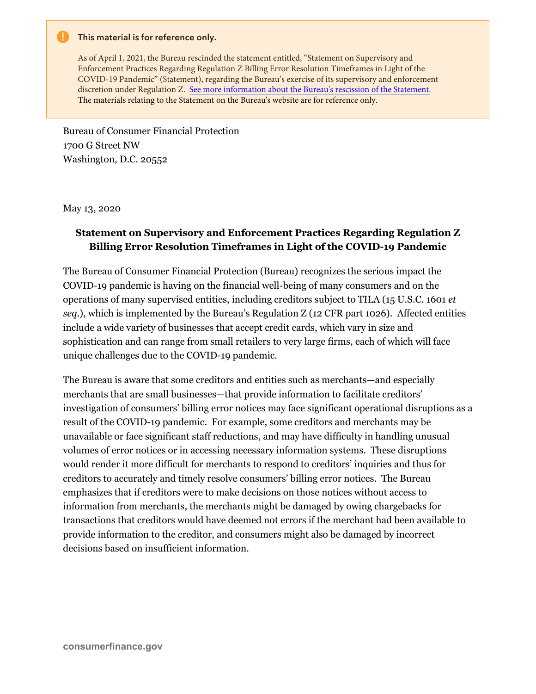## **This material is for reference only.**

As of April 1, 2021, the Bureau rescinded the statement entitled, "Statement on Supervisory and Enforcement Practices Regarding Regulation Z Billing Error Resolution Timeframes in Light of the COVID-19 Pandemic" (Statement), regarding the Bureau's exercise of its supervisory and enforcement discretion under Regulation Z. [See more information about the Bureau's rescission of the Statement.](https://www.consumerfinance.gov/about-us/newsroom/cfpb-rescinds-series-of-policy-statements-to-ensure-industry-complies-with-consumer-protection-laws/)  The materials relating to the Statement on the Bureau's website are for reference only.

Bureau of Consumer Financial Protection 1700 G Street NW Washington, D.C. 20552

May 13, 2020

## **Statement on Supervisory and Enforcement Practices Regarding Regulation Z Billing Error Resolution Timeframes in Light of the COVID-19 Pandemic**

The Bureau of Consumer Financial Protection (Bureau) recognizes the serious impact the COVID-19 pandemic is having on the financial well-being of many consumers and on the operations of many supervised entities, including creditors subject to TILA (15 U.S.C. 1601 *et seq*.), which is implemented by the Bureau's Regulation Z (12 CFR part 1026). Affected entities include a wide variety of businesses that accept credit cards, which vary in size and sophistication and can range from small retailers to very large firms, each of which will face unique challenges due to the COVID-19 pandemic.

The Bureau is aware that some creditors and entities such as merchants—and especially merchants that are small businesses—that provide information to facilitate creditors' investigation of consumers' billing error notices may face significant operational disruptions as a result of the COVID-19 pandemic. For example, some creditors and merchants may be unavailable or face significant staff reductions, and may have difficulty in handling unusual volumes of error notices or in accessing necessary information systems. These disruptions would render it more difficult for merchants to respond to creditors' inquiries and thus for creditors to accurately and timely resolve consumers' billing error notices. The Bureau emphasizes that if creditors were to make decisions on those notices without access to information from merchants, the merchants might be damaged by owing chargebacks for transactions that creditors would have deemed not errors if the merchant had been available to provide information to the creditor, and consumers might also be damaged by incorrect decisions based on insufficient information.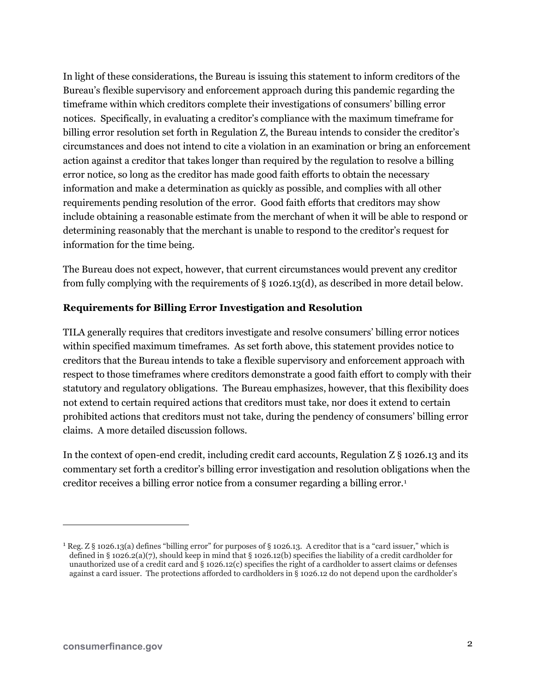In light of these considerations, the Bureau is issuing this statement to inform creditors of the Bureau's flexible supervisory and enforcement approach during this pandemic regarding the timeframe within which creditors complete their investigations of consumers' billing error notices. Specifically, in evaluating a creditor's compliance with the maximum timeframe for billing error resolution set forth in Regulation Z, the Bureau intends to consider the creditor's circumstances and does not intend to cite a violation in an examination or bring an enforcement action against a creditor that takes longer than required by the regulation to resolve a billing error notice, so long as the creditor has made good faith efforts to obtain the necessary information and make a determination as quickly as possible, and complies with all other requirements pending resolution of the error. Good faith efforts that creditors may show include obtaining a reasonable estimate from the merchant of when it will be able to respond or determining reasonably that the merchant is unable to respond to the creditor's request for information for the time being.

The Bureau does not expect, however, that current circumstances would prevent any creditor from fully complying with the requirements of § 1026.13(d), as described in more detail below.

## **Requirements for Billing Error Investigation and Resolution**

TILA generally requires that creditors investigate and resolve consumers' billing error notices within specified maximum timeframes. As set forth above, this statement provides notice to creditors that the Bureau intends to take a flexible supervisory and enforcement approach with respect to those timeframes where creditors demonstrate a good faith effort to comply with their statutory and regulatory obligations. The Bureau emphasizes, however, that this flexibility does not extend to certain required actions that creditors must take, nor does it extend to certain prohibited actions that creditors must not take, during the pendency of consumers' billing error claims. A more detailed discussion follows.

In the context of open-end credit, including credit card accounts, Regulation  $Z\S$  1026.13 and its commentary set forth a creditor's billing error investigation and resolution obligations when the creditor receives a billing error notice from a consumer regarding a billing error.[1](#page-1-0)

 $\overline{a}$ 

<span id="page-1-0"></span><sup>&</sup>lt;sup>1</sup> Reg. Z § 1026.13(a) defines "billing error" for purposes of § 1026.13. A creditor that is a "card issuer," which is defined in § 1026.2(a)(7), should keep in mind that § 1026.12(b) specifies the liability of a credit cardholder for unauthorized use of a credit card and  $\S$  1026.12(c) specifies the right of a cardholder to assert claims or defenses against a card issuer. The protections afforded to cardholders in § 1026.12 do not depend upon the cardholder's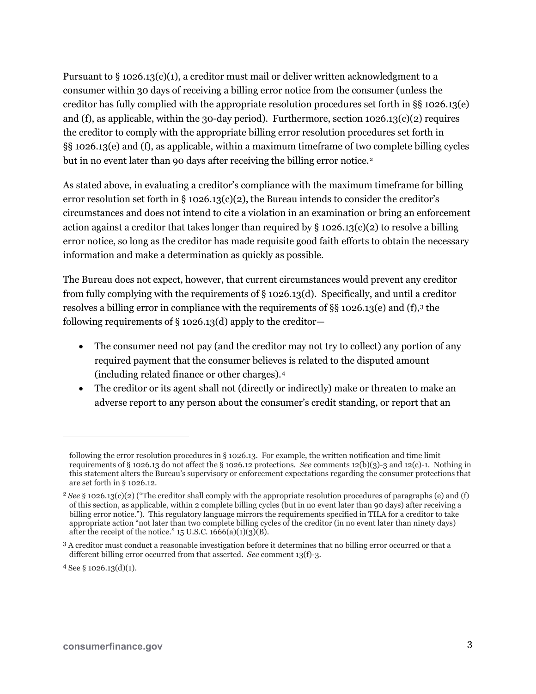Pursuant to  $\S 1026.13(c)(1)$ , a creditor must mail or deliver written acknowledgment to a consumer within 30 days of receiving a billing error notice from the consumer (unless the creditor has fully complied with the appropriate resolution procedures set forth in §§ 1026.13(e) and (f), as applicable, within the 30-day period). Furthermore, section  $1026.13(c)(2)$  requires the creditor to comply with the appropriate billing error resolution procedures set forth in §§ 1026.13(e) and (f), as applicable, within a maximum timeframe of two complete billing cycles but in no event later than 90 days after receiving the billing error notice.<sup>[2](#page-2-0)</sup>

As stated above, in evaluating a creditor's compliance with the maximum timeframe for billing error resolution set forth in § 1026.13(c)(2), the Bureau intends to consider the creditor's circumstances and does not intend to cite a violation in an examination or bring an enforcement action against a creditor that takes longer than required by  $\S 1026.13(c)(2)$  to resolve a billing error notice, so long as the creditor has made requisite good faith efforts to obtain the necessary information and make a determination as quickly as possible.

The Bureau does not expect, however, that current circumstances would prevent any creditor from fully complying with the requirements of § 1026.13(d). Specifically, and until a creditor resolves a billing error in compliance with the requirements of  $\S$  1026.1[3](#page-2-1)(e) and (f),<sup>3</sup> the following requirements of  $\S$  1026.13(d) apply to the creditor-

- The consumer need not pay (and the creditor may not try to collect) any portion of any required payment that the consumer believes is related to the disputed amount (including related finance or other charges).[4](#page-2-2)
- The creditor or its agent shall not (directly or indirectly) make or threaten to make an adverse report to any person about the consumer's credit standing, or report that an

1

following the error resolution procedures in § 1026.13. For example, the written notification and time limit requirements of § 1026.13 do not affect the § 1026.12 protections. *See* comments 12(b)(3)-3 and 12(c)-1. Nothing in this statement alters the Bureau's supervisory or enforcement expectations regarding the consumer protections that are set forth in § 1026.12.

<span id="page-2-0"></span><sup>2</sup> *See* § 1026.13(c)(2) ("The creditor shall comply with the appropriate resolution procedures of paragraphs (e) and (f) of this section, as applicable, within 2 complete billing cycles (but in no event later than 90 days) after receiving a billing error notice."). This regulatory language mirrors the requirements specified in TILA for a creditor to take appropriate action "not later than two complete billing cycles of the creditor (in no event later than ninety days) after the receipt of the notice."  $15$  U.S.C.  $1666(a)(1)(3)(B)$ .

<span id="page-2-1"></span><sup>3</sup> A creditor must conduct a reasonable investigation before it determines that no billing error occurred or that a different billing error occurred from that asserted. *See* comment 13(f)-3.

<span id="page-2-2"></span> $4$  See § 1026.13(d)(1).